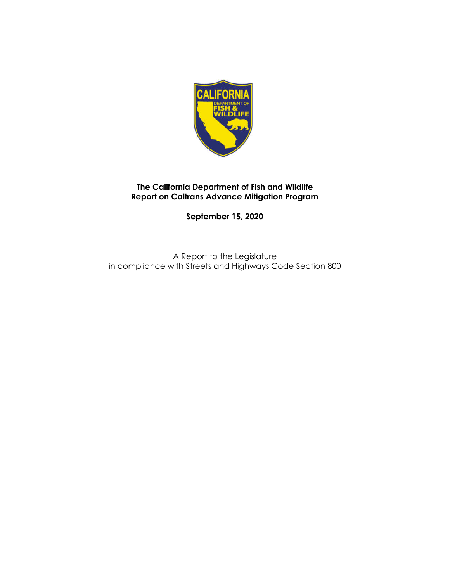

**September 15, 2020**

A Report to the Legislature in compliance with Streets and Highways Code Section 800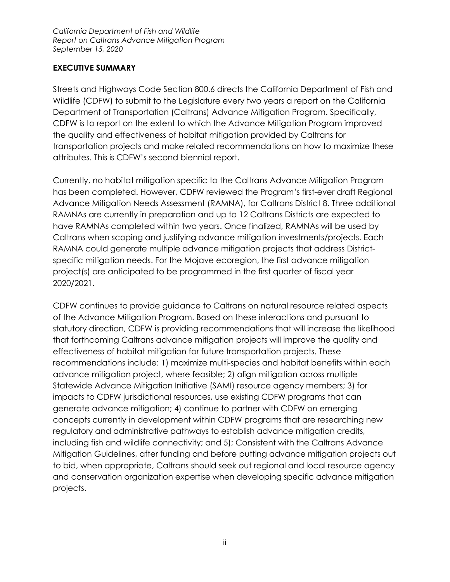#### **EXECUTIVE SUMMARY**

Streets and Highways Code Section 800.6 directs the California Department of Fish and Wildlife (CDFW) to submit to the Legislature every two years a report on the California Department of Transportation (Caltrans) Advance Mitigation Program. Specifically, CDFW is to report on the extent to which the Advance Mitigation Program improved the quality and effectiveness of habitat mitigation provided by Caltrans for transportation projects and make related recommendations on how to maximize these attributes. This is CDFW's second biennial report.

Currently, no habitat mitigation specific to the Caltrans Advance Mitigation Program has been completed. However, CDFW reviewed the Program's first-ever draft Regional Advance Mitigation Needs Assessment (RAMNA), for Caltrans District 8. Three additional RAMNAs are currently in preparation and up to 12 Caltrans Districts are expected to have RAMNAs completed within two years. Once finalized, RAMNAs will be used by Caltrans when scoping and justifying advance mitigation investments/projects. Each RAMNA could generate multiple advance mitigation projects that address Districtspecific mitigation needs. For the Mojave ecoregion, the first advance mitigation project(s) are anticipated to be programmed in the first quarter of fiscal year 2020/2021.

CDFW continues to provide guidance to Caltrans on natural resource related aspects of the Advance Mitigation Program. Based on these interactions and pursuant to statutory direction, CDFW is providing recommendations that will increase the likelihood that forthcoming Caltrans advance mitigation projects will improve the quality and effectiveness of habitat mitigation for future transportation projects. These recommendations include: 1) maximize multi-species and habitat benefits within each advance mitigation project, where feasible; 2) align mitigation across multiple Statewide Advance Mitigation Initiative (SAMI) resource agency members; 3) for impacts to CDFW jurisdictional resources, use existing CDFW programs that can generate advance mitigation; 4) continue to partner with CDFW on emerging concepts currently in development within CDFW programs that are researching new regulatory and administrative pathways to establish advance mitigation credits, including fish and wildlife connectivity; and 5); Consistent with the Caltrans Advance Mitigation Guidelines, after funding and before putting advance mitigation projects out to bid, when appropriate, Caltrans should seek out regional and local resource agency and conservation organization expertise when developing specific advance mitigation projects.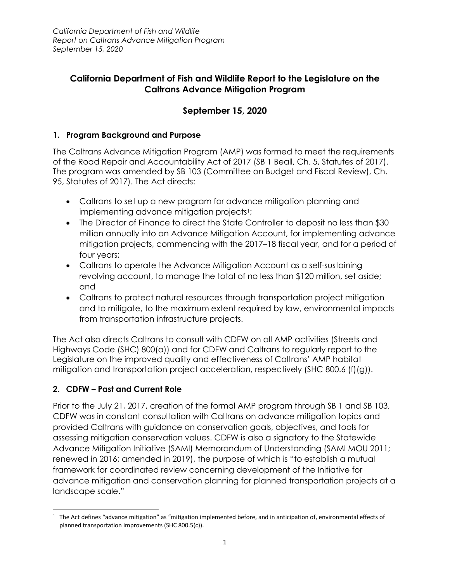## **California Department of Fish and Wildlife Report to the Legislature on the Caltrans Advance Mitigation Program**

# **September 15, 2020**

### **1. Program Background and Purpose**

The Caltrans Advance Mitigation Program (AMP) was formed to meet the requirements of the Road Repair and Accountability Act of 2017 (SB 1 Beall, Ch. 5, Statutes of 2017). The program was amended by SB 103 (Committee on Budget and Fiscal Review), Ch. 95, Statutes of 2017). The Act directs:

- Caltrans to set up a new program for advance mitigation planning and implementing advance mitigation projects<sup>1</sup>;
- The Director of Finance to direct the State Controller to deposit no less than \$30 million annually into an Advance Mitigation Account, for implementing advance mitigation projects, commencing with the 2017–18 fiscal year, and for a period of four years;
- Caltrans to operate the Advance Mitigation Account as a self-sustaining revolving account, to manage the total of no less than \$120 million, set aside; and
- Caltrans to protect natural resources through transportation project mitigation and to mitigate, to the maximum extent required by law, environmental impacts from transportation infrastructure projects.

The Act also directs Caltrans to consult with CDFW on all AMP activities (Streets and Highways Code (SHC) 800(a)) and for CDFW and Caltrans to regularly report to the Legislature on the improved quality and effectiveness of Caltrans' AMP habitat mitigation and transportation project acceleration, respectively (SHC 800.6 (f)(g)).

### **2. CDFW – Past and Current Role**

Prior to the July 21, 2017, creation of the formal AMP program through SB 1 and SB 103, CDFW was in constant consultation with Caltrans on advance mitigation topics and provided Caltrans with guidance on conservation goals, objectives, and tools for assessing mitigation conservation values. CDFW is also a signatory to the Statewide Advance Mitigation Initiative (SAMI) Memorandum of Understanding (SAMI MOU 2011; renewed in 2016; amended in 2019), the purpose of which is "to establish a mutual framework for coordinated review concerning development of the Initiative for advance mitigation and conservation planning for planned transportation projects at a landscape scale."

 $1$  The Act defines "advance mitigation" as "mitigation implemented before, and in anticipation of, environmental effects of planned transportation improvements (SHC 800.5(c)).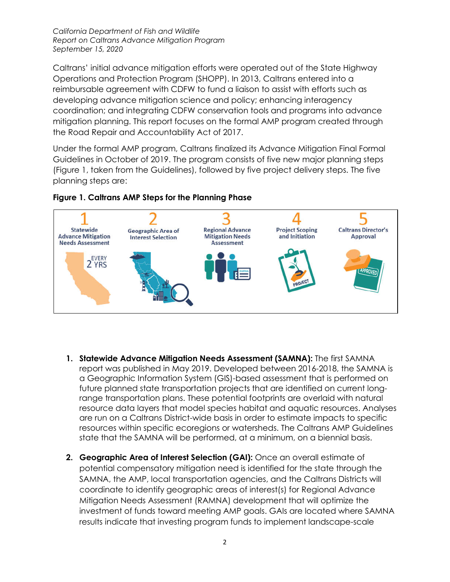Caltrans' initial advance mitigation efforts were operated out of the State Highway Operations and Protection Program (SHOPP). In 2013, Caltrans entered into a reimbursable agreement with CDFW to fund a liaison to assist with efforts such as developing advance mitigation science and policy; enhancing interagency coordination; and integrating CDFW conservation tools and programs into advance mitigation planning. This report focuses on the formal AMP program created through the Road Repair and Accountability Act of 2017.

Under the formal AMP program, Caltrans finalized its Advance Mitigation Final Formal Guidelines in October of 2019. The program consists of five new major planning steps (Figure 1, taken from the Guidelines), followed by five project delivery steps. The five planning steps are:





- **1. Statewide Advance Mitigation Needs Assessment (SAMNA):** The first SAMNA report was published in May 2019. Developed between 2016-2018, the SAMNA is a Geographic Information System (GIS)-based assessment that is performed on future planned state transportation projects that are identified on current longrange transportation plans. These potential footprints are overlaid with natural resource data layers that model species habitat and aquatic resources. Analyses are run on a Caltrans District-wide basis in order to estimate impacts to specific resources within specific ecoregions or watersheds. The Caltrans AMP Guidelines state that the SAMNA will be performed, at a minimum, on a biennial basis.
- **2. Geographic Area of Interest Selection (GAI):** Once an overall estimate of potential compensatory mitigation need is identified for the state through the SAMNA, the AMP, local transportation agencies, and the Caltrans Districts will coordinate to identify geographic areas of interest(s) for Regional Advance Mitigation Needs Assessment (RAMNA) development that will optimize the investment of funds toward meeting AMP goals. GAIs are located where SAMNA results indicate that investing program funds to implement landscape-scale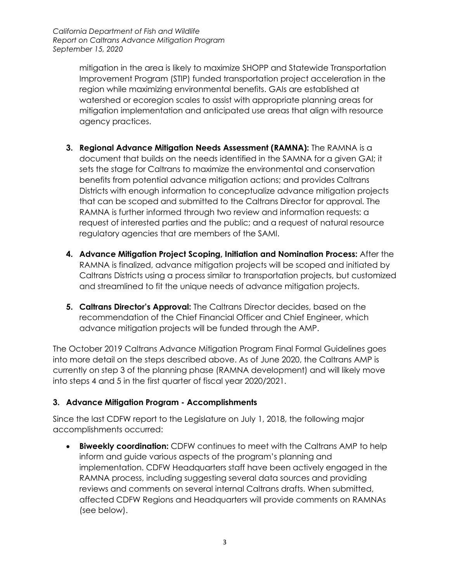mitigation in the area is likely to maximize SHOPP and Statewide Transportation Improvement Program (STIP) funded transportation project acceleration in the region while maximizing environmental benefits. GAIs are established at watershed or ecoregion scales to assist with appropriate planning areas for mitigation implementation and anticipated use areas that align with resource agency practices.

- **3. Regional Advance Mitigation Needs Assessment (RAMNA):** The RAMNA is a document that builds on the needs identified in the SAMNA for a given GAI; it sets the stage for Caltrans to maximize the environmental and conservation benefits from potential advance mitigation actions; and provides Caltrans Districts with enough information to conceptualize advance mitigation projects that can be scoped and submitted to the Caltrans Director for approval. The RAMNA is further informed through two review and information requests: a request of interested parties and the public; and a request of natural resource regulatory agencies that are members of the SAMI.
- **4. Advance Mitigation Project Scoping, Initiation and Nomination Process:** After the RAMNA is finalized, advance mitigation projects will be scoped and initiated by Caltrans Districts using a process similar to transportation projects, but customized and streamlined to fit the unique needs of advance mitigation projects.
- **5. Caltrans Director's Approval:** The Caltrans Director decides, based on the recommendation of the Chief Financial Officer and Chief Engineer, which advance mitigation projects will be funded through the AMP.

The October 2019 Caltrans Advance Mitigation Program Final Formal Guidelines goes into more detail on the steps described above. As of June 2020, the Caltrans AMP is currently on step 3 of the planning phase (RAMNA development) and will likely move into steps 4 and 5 in the first quarter of fiscal year 2020/2021.

### **3. Advance Mitigation Program - Accomplishments**

Since the last CDFW report to the Legislature on July 1, 2018, the following major accomplishments occurred:

 **Biweekly coordination:** CDFW continues to meet with the Caltrans AMP to help inform and guide various aspects of the program's planning and implementation. CDFW Headquarters staff have been actively engaged in the RAMNA process, including suggesting several data sources and providing reviews and comments on several internal Caltrans drafts. When submitted, affected CDFW Regions and Headquarters will provide comments on RAMNAs (see below).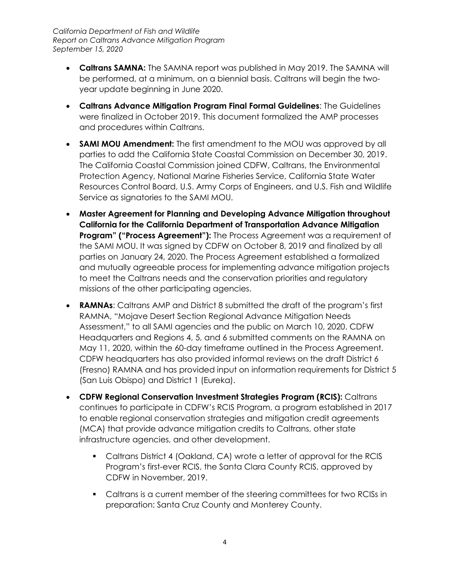- **Caltrans SAMNA:** The SAMNA report was published in May 2019. The SAMNA will be performed, at a minimum, on a biennial basis. Caltrans will begin the twoyear update beginning in June 2020.
- **Caltrans Advance Mitigation Program Final Formal Guidelines**: The Guidelines were finalized in October 2019. This document formalized the AMP processes and procedures within Caltrans.
- **SAMI MOU Amendment:** The first amendment to the MOU was approved by all parties to add the California State Coastal Commission on December 30, 2019. The California Coastal Commission joined CDFW, Caltrans, the Environmental Protection Agency, National Marine Fisheries Service, California State Water Resources Control Board, U.S. Army Corps of Engineers, and U.S. Fish and Wildlife Service as signatories to the SAMI MOU.
- **Master Agreement for Planning and Developing Advance Mitigation throughout California for the California Department of Transportation Advance Mitigation Program" ("Process Agreement"):** The Process Agreement was a requirement of the SAMI MOU. It was signed by CDFW on October 8, 2019 and finalized by all parties on January 24, 2020. The Process Agreement established a formalized and mutually agreeable process for implementing advance mitigation projects to meet the Caltrans needs and the conservation priorities and regulatory missions of the other participating agencies.
- **RAMNAs**: Caltrans AMP and District 8 submitted the draft of the program's first RAMNA, "Mojave Desert Section Regional Advance Mitigation Needs Assessment," to all SAMI agencies and the public on March 10, 2020. CDFW Headquarters and Regions 4, 5, and 6 submitted comments on the RAMNA on May 11, 2020, within the 60-day timeframe outlined in the Process Agreement. CDFW headquarters has also provided informal reviews on the draft District 6 (Fresno) RAMNA and has provided input on information requirements for District 5 (San Luis Obispo) and District 1 (Eureka).
- **CDFW Regional Conservation Investment Strategies Program (RCIS):** Caltrans continues to participate in CDFW's RCIS Program, a program established in 2017 to enable regional conservation strategies and mitigation credit agreements (MCA) that provide advance mitigation credits to Caltrans, other state infrastructure agencies, and other development.
	- Caltrans District 4 (Oakland, CA) wrote a letter of approval for the RCIS Program's first-ever RCIS, the Santa Clara County RCIS, approved by CDFW in November, 2019.
	- Caltrans is a current member of the steering committees for two RCISs in preparation: Santa Cruz County and Monterey County.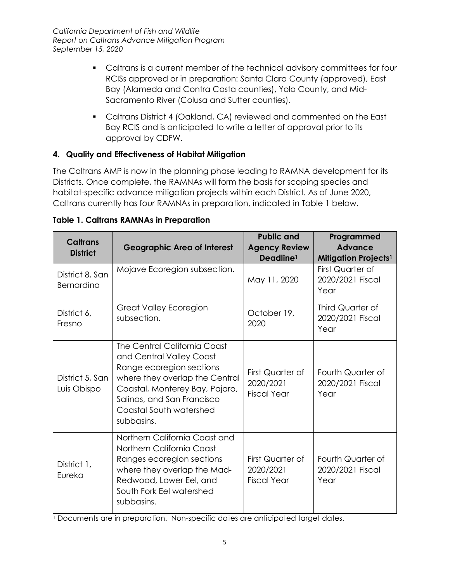- Caltrans is a current member of the technical advisory committees for four RCISs approved or in preparation: Santa Clara County (approved), East Bay (Alameda and Contra Costa counties), Yolo County, and Mid-Sacramento River (Colusa and Sutter counties).
- Caltrans District 4 (Oakland, CA) reviewed and commented on the East Bay RCIS and is anticipated to write a letter of approval prior to its approval by CDFW.

## **4. Quality and Effectiveness of Habitat Mitigation**

The Caltrans AMP is now in the planning phase leading to RAMNA development for its Districts. Once complete, the RAMNAs will form the basis for scoping species and habitat-specific advance mitigation projects within each District. As of June 2020, Caltrans currently has four RAMNAs in preparation, indicated in Table 1 below.

| <b>Caltrans</b><br><b>District</b> | <b>Geographic Area of Interest</b>                                                                                                                                                                                              | <b>Public and</b><br><b>Agency Review</b><br>Deadline <sup>1</sup> | Programmed<br><b>Advance</b><br><b>Mitigation Projects<sup>1</sup></b> |
|------------------------------------|---------------------------------------------------------------------------------------------------------------------------------------------------------------------------------------------------------------------------------|--------------------------------------------------------------------|------------------------------------------------------------------------|
| District 8, San<br>Bernardino      | Mojave Ecoregion subsection.                                                                                                                                                                                                    | May 11, 2020                                                       | First Quarter of<br>2020/2021 Fiscal<br>Year                           |
| District 6,<br>Fresno              | <b>Great Valley Ecoregion</b><br>subsection.                                                                                                                                                                                    | October 19,<br>2020                                                | Third Quarter of<br>2020/2021 Fiscal<br>Year                           |
| District 5, San<br>Luis Obispo     | The Central California Coast<br>and Central Valley Coast<br>Range ecoregion sections<br>where they overlap the Central<br>Coastal, Monterey Bay, Pajaro,<br>Salinas, and San Francisco<br>Coastal South watershed<br>subbasins. | First Quarter of<br>2020/2021<br><b>Fiscal Year</b>                | Fourth Quarter of<br>2020/2021 Fiscal<br>Year                          |
| District 1,<br>Eureka              | Northern California Coast and<br>Northern California Coast<br>Ranges ecoregion sections<br>where they overlap the Mad-<br>Redwood, Lower Eel, and<br>South Fork Eel watershed<br>subbasins.                                     | First Quarter of<br>2020/2021<br><b>Fiscal Year</b>                | Fourth Quarter of<br>2020/2021 Fiscal<br>Year                          |

#### **Table 1. Caltrans RAMNAs in Preparation**

<sup>1</sup> Documents are in preparation. Non-specific dates are anticipated target dates.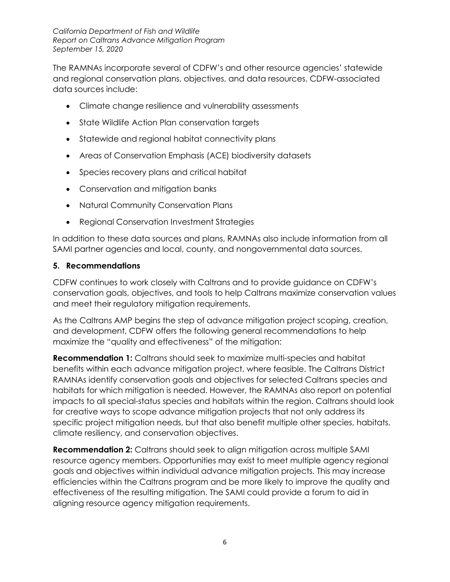The RAMNAs incorporate several of CDFW's and other resource agencies' statewide and regional conservation plans, objectives, and data resources. CDFW-associated data sources include:

- Climate change resilience and vulnerability assessments
- State Wildlife Action Plan conservation targets
- Statewide and regional habitat connectivity plans
- Areas of Conservation Emphasis (ACE) biodiversity datasets
- Species recovery plans and critical habitat
- Conservation and mitigation banks
- Natural Community Conservation Plans
- Regional Conservation Investment Strategies

In addition to these data sources and plans, RAMNAs also include information from all SAMI partner agencies and local, county, and nongovernmental data sources.

#### **5. Recommendations**

CDFW continues to work closely with Caltrans and to provide guidance on CDFW's conservation goals, objectives, and tools to help Caltrans maximize conservation values and meet their regulatory mitigation requirements.

As the Caltrans AMP begins the step of advance mitigation project scoping, creation, and development, CDFW offers the following general recommendations to help maximize the "quality and effectiveness" of the mitigation:

**Recommendation 1:** Caltrans should seek to maximize multi-species and habitat benefits within each advance mitigation project, where feasible. The Caltrans District RAMNAs identify conservation goals and objectives for selected Caltrans species and habitats for which mitigation is needed. However, the RAMNAs also report on potential impacts to all special-status species and habitats within the region. Caltrans should look for creative ways to scope advance mitigation projects that not only address its specific project mitigation needs, but that also benefit multiple other species, habitats, climate resiliency, and conservation objectives.

**Recommendation 2:** Caltrans should seek to align mitigation across multiple SAMI resource agency members. Opportunities may exist to meet multiple agency regional goals and objectives within individual advance mitigation projects. This may increase efficiencies within the Caltrans program and be more likely to improve the quality and effectiveness of the resulting mitigation. The SAMI could provide a forum to aid in aligning resource agency mitigation requirements.